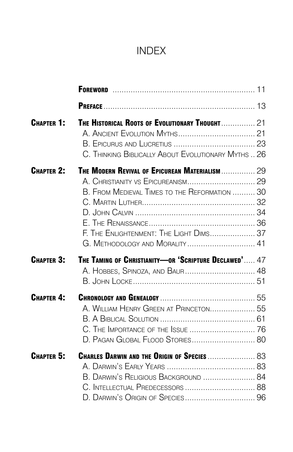## INDEX

| CHAPTER 1: | THE HISTORICAL ROOTS OF EVOLUTIONARY THOUGHT 21<br>C. THINKING BIBLICALLY ABOUT EVOLUTIONARY MYTHS  26                                      |  |
|------------|---------------------------------------------------------------------------------------------------------------------------------------------|--|
| CHAPTER 2: | THE MODERN REVIVAL OF EPICUREAN MATERIALISM  29<br>B. FROM MEDIEVAL TIMES TO THE REFORMATION  30<br>F. THE ENLIGHTENMENT: THE LIGHT DIMS 37 |  |
| CHAPTER 3: | THE TAMING OF CHRISTIANITY-OR 'SCRIPTURE DECLAWED' 47<br>A. HOBBES, SPINOZA, AND BAUR 48                                                    |  |
| CHAPTER 4: | A. WILLIAM HENRY GREEN AT PRINCETON 55<br>D. PAGAN GLOBAL FLOOD STORIES 80                                                                  |  |
| CHAPTER 5: | <b>CHARLES DARWIN AND THE ORIGIN OF SPECIES  83</b><br>B. DARWIN'S RELIGIOUS BACKGROUND  84                                                 |  |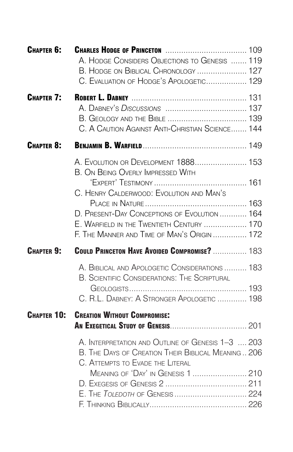| A. HODGE CONSIDERS OBJECTIONS TO GENESIS  119<br>B. HODGE ON BIBLICAL CHRONOLOGY  127<br>C. EVALUATION OF HODGE'S APOLOGETIC 129                                                         |
|------------------------------------------------------------------------------------------------------------------------------------------------------------------------------------------|
| C. A CAUTION AGAINST ANTI-CHRISTIAN SCIENCE 144                                                                                                                                          |
|                                                                                                                                                                                          |
| A. EVOLUTION OR DEVELOPMENT 1888 153<br><b>B. ON BEING OVERLY IMPRESSED WITH</b>                                                                                                         |
| C. HENRY CALDERWOOD: EVOLUTION AND MAN'S                                                                                                                                                 |
|                                                                                                                                                                                          |
| D. PRESENT-DAY CONCEPTIONS OF EVOLUTION  164                                                                                                                                             |
| E. WARFIELD IN THE TWENTIETH CENTURY  170<br>F. THE MANNER AND TIME OF MAN'S ORIGIN  172                                                                                                 |
| <b>COULD PRINCETON HAVE AVOIDED COMPROMISE?</b> 183                                                                                                                                      |
| A. BIBLICAL AND APOLOGETIC CONSIDERATIONS  183<br><b>B. SCIENTIFIC CONSIDERATIONS: THE SCRIPTURAL</b>                                                                                    |
| C. R.L. DABNEY: A STRONGER APOLOGETIC  198                                                                                                                                               |
| <b>CREATION WITHOUT COMPROMISE:</b>                                                                                                                                                      |
|                                                                                                                                                                                          |
| A. INTERPRETATION AND OUTLINE OF GENESIS 1-3  203<br>B. THE DAYS OF CREATION THEIR BIBLICAL MEANING 206<br>C. ATTEMPTS TO EVADE THE LITERAL<br><b>MEANING OF 'DAY' IN GENESIS 1  210</b> |
|                                                                                                                                                                                          |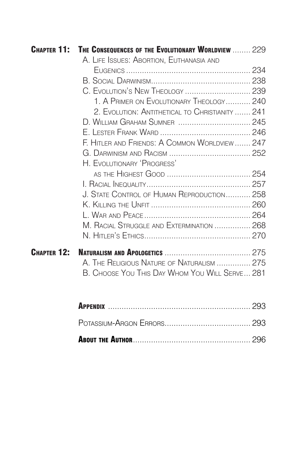| CHAPTER 11: | <b>THE CONSEQUENCES OF THE EVOLUTIONARY WORLDVIEW  229</b> |  |
|-------------|------------------------------------------------------------|--|
|             | A. LIFE ISSUES: ABORTION, EUTHANASIA AND                   |  |
|             |                                                            |  |
|             |                                                            |  |
|             | C. EVOLUTION'S NEW THEOLOGY  239                           |  |
|             | 1. A PRIMER ON EVOLUTIONARY THEOLOGY 240                   |  |
|             | 2. Evolution: Antithetical to Christianity , , , , , 241   |  |
|             | D. WILLIAM GRAHAM SUMNER  245                              |  |
|             |                                                            |  |
|             | F. HITLER AND FRIENDS: A COMMON WORLDVIEW 247              |  |
|             |                                                            |  |
|             | H. EVOLUTIONARY 'PROGRESS'                                 |  |
|             |                                                            |  |
|             |                                                            |  |
|             | J. State Control of Human Reproduction 258                 |  |
|             |                                                            |  |
|             |                                                            |  |
|             |                                                            |  |
|             |                                                            |  |
| CHAPTER 12: |                                                            |  |
|             | A. THE RELIGIOUS NATURE OF NATURALISM  275                 |  |
|             | B. Choose You This Day Whom You Will Serve 281             |  |
|             |                                                            |  |
|             |                                                            |  |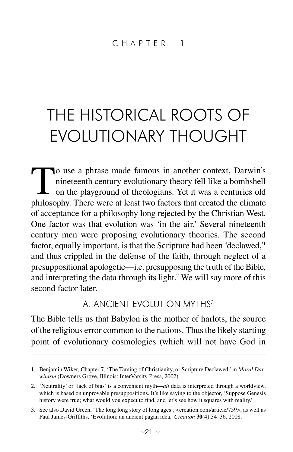## The Historical Roots of Evolutionary Thought

To use a phrase made famous in another context, Darwin's<br>nineteenth century evolutionary theory fell like a bombshell<br>on the playground of theologians. Yet it was a centuries old<br>religionshy. There were at least two fector nineteenth century evolutionary theory fell like a bombshell on the playground of theologians. Yet it was a centuries old philosophy. There were at least two factors that created the climate of acceptance for a philosophy long rejected by the Christian West. One factor was that evolution was 'in the air.' Several nineteenth century men were proposing evolutionary theories. The second factor, equally important, is that the Scripture had been 'declawed,'1 and thus crippled in the defense of the faith, through neglect of a presuppositional apologetic—i.e. presupposing the truth of the Bible, and interpreting the data through its light.<sup>2</sup> We will say more of this second factor later.

## A. ANCIENT EVOLUTION MYTHS<sup>3</sup>

The Bible tells us that Babylon is the mother of harlots, the source of the religious error common to the nations. Thus the likely starting point of evolutionary cosmologies (which will not have God in

<sup>1.</sup> Benjamin Wiker, Chapter 7, 'The Taming of Christianity, or Scripture Declawed,' in *Moral Darwinism* (Downers Grove, Illinois: InterVarsity Press, 2002).

<sup>2.</sup> 'Neutrality' or 'lack of bias' is a convenient myth—*all* data is interpreted through a worldview, which is based on unprovable presuppositions. It's like saying to the objector, 'Suppose Genesis history were true; what would you expect to find, and let's see how it squares with reality.'

<sup>3.</sup> See also David Green, 'The long long story of long ages', <creation.com/article/759>, as well as Paul James-Griffiths, 'Evolution: an ancient pagan idea,' *Creation* **30**(4):34–36, 2008.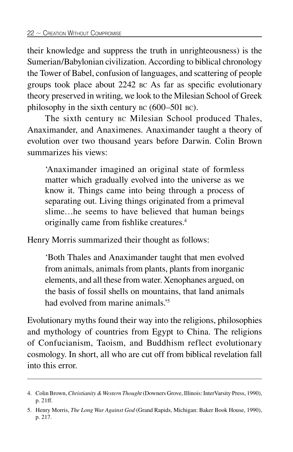their knowledge and suppress the truth in unrighteousness) is the Sumerian/Babylonian civilization. According to biblical chronology the Tower of Babel, confusion of languages, and scattering of people groups took place about 2242 bc As far as specific evolutionary theory preserved in writing, we look to the Milesian School of Greek philosophy in the sixth century bc (600–501 bc).

The sixth century bc Milesian School produced Thales, Anaximander, and Anaximenes. Anaximander taught a theory of evolution over two thousand years before Darwin. Colin Brown summarizes his views:

'Anaximander imagined an original state of formless matter which gradually evolved into the universe as we know it. Things came into being through a process of separating out. Living things originated from a primeval slime…he seems to have believed that human beings originally came from fishlike creatures.4

Henry Morris summarized their thought as follows:

'Both Thales and Anaximander taught that men evolved from animals, animals from plants, plants from inorganic elements, and all these from water. Xenophanes argued, on the basis of fossil shells on mountains, that land animals had evolved from marine animals.'5

Evolutionary myths found their way into the religions, philosophies and mythology of countries from Egypt to China. The religions of Confucianism, Taoism, and Buddhism reflect evolutionary cosmology. In short, all who are cut off from biblical revelation fall into this error.

<sup>4.</sup> Colin Brown, *Christianity & Western Thought* (Downers Grove, Illinois: InterVarsity Press, 1990), p. 21ff.

<sup>5.</sup> Henry Morris, *The Long War Against God* (Grand Rapids, Michigan: Baker Book House, 1990), p. 217.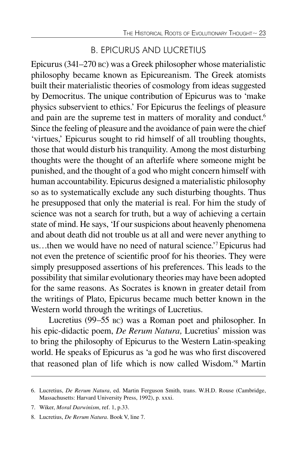## B. Epicurus and Lucretius

Epicurus (341–270 bc) was a Greek philosopher whose materialistic philosophy became known as Epicureanism. The Greek atomists built their materialistic theories of cosmology from ideas suggested by Democritus. The unique contribution of Epicurus was to 'make physics subservient to ethics.' For Epicurus the feelings of pleasure and pain are the supreme test in matters of morality and conduct.<sup>6</sup> Since the feeling of pleasure and the avoidance of pain were the chief 'virtues,' Epicurus sought to rid himself of all troubling thoughts, those that would disturb his tranquility. Among the most disturbing thoughts were the thought of an afterlife where someone might be punished, and the thought of a god who might concern himself with human accountability. Epicurus designed a materialistic philosophy so as to systematically exclude any such disturbing thoughts. Thus he presupposed that only the material is real. For him the study of science was not a search for truth, but a way of achieving a certain state of mind. He says, 'If our suspicions about heavenly phenomena and about death did not trouble us at all and were never anything to us…then we would have no need of natural science.'7 Epicurus had not even the pretence of scientific proof for his theories. They were simply presupposed assertions of his preferences. This leads to the possibility that similar evolutionary theories may have been adopted for the same reasons. As Socrates is known in greater detail from the writings of Plato, Epicurus became much better known in the Western world through the writings of Lucretius.

Lucretius (99–55 bc) was a Roman poet and philosopher. In his epic-didactic poem, *De Rerum Natura,* Lucretius' mission was to bring the philosophy of Epicurus to the Western Latin-speaking world. He speaks of Epicurus as 'a god he was who first discovered that reasoned plan of life which is now called Wisdom.'8 Martin

<sup>6.</sup> Lucretius, *De Rerum Natura*, ed. Martin Ferguson Smith, trans. W.H.D. Rouse (Cambridge, Massachusetts: Harvard University Press, 1992), p. xxxi.

<sup>7.</sup> Wiker, *Moral Darwinism*, ref. 1, p.33.

<sup>8.</sup> Lucretius, *De Rerum Natura*. Book V, line 7.